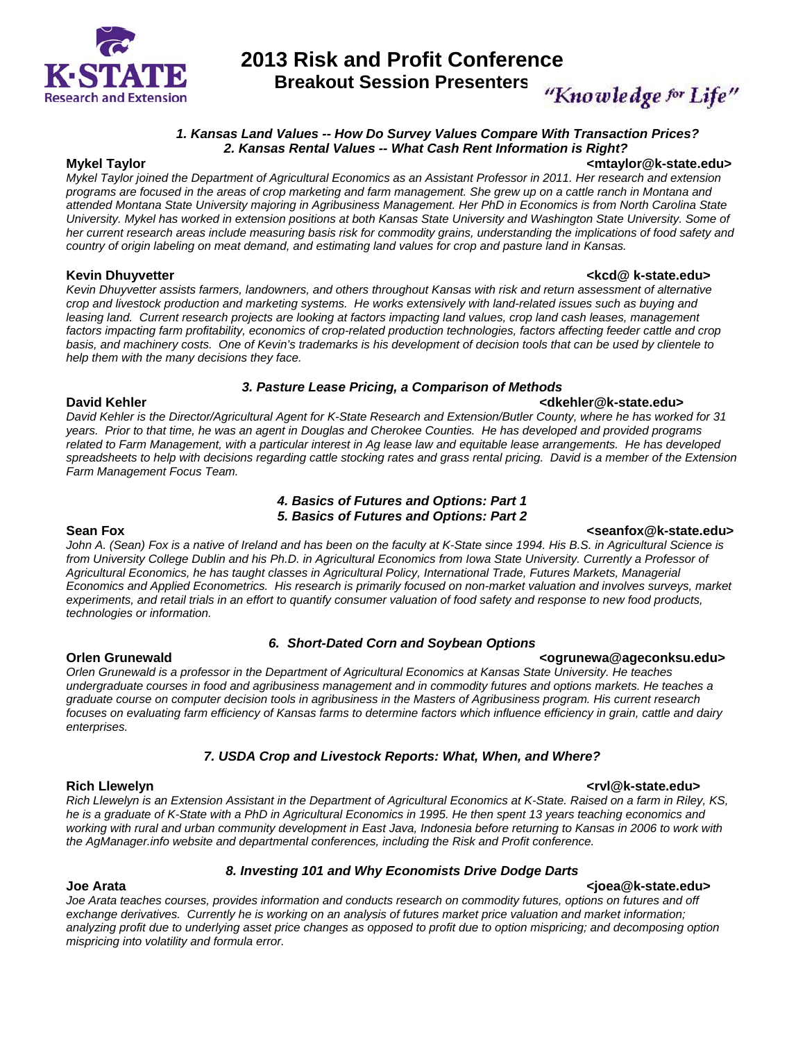

## **2013 Risk and Profit Conference**

**Breakout Session Presenters** 

"Knowledge for Life"

### *1. Kansas Land Values -- How Do Survey Values Compare With Transaction Prices? 2. Kansas Rental Values -- What Cash Rent Information is Right?*

**Mykel Taylor <mtaylor@k-state.edu>**  *Mykel Taylor joined the Department of Agricultural Economics as an Assistant Professor in 2011. Her research and extension programs are focused in the areas of crop marketing and farm management. She grew up on a cattle ranch in Montana and attended Montana State University majoring in Agribusiness Management. Her PhD in Economics is from North Carolina State University. Mykel has worked in extension positions at both Kansas State University and Washington State University. Some of her current research areas include measuring basis risk for commodity grains, understanding the implications of food safety and country of origin labeling on meat demand, and estimating land values for crop and pasture land in Kansas.* 

**Kevin Dhuyvetter** and the state of the state of the state of the state of the state of the state of the state of the state of the state of the state of the state of the state of the state of the state of the state of the *Kevin Dhuyvetter assists farmers, landowners, and others throughout Kansas with risk and return assessment of alternative crop and livestock production and marketing systems. He works extensively with land-related issues such as buying and*  leasing land. Current research projects are looking at factors impacting land values, crop land cash leases, management factors impacting farm profitability, economics of crop-related production technologies, factors affecting feeder cattle and crop *basis, and machinery costs. One of Kevin's trademarks is his development of decision tools that can be used by clientele to help them with the many decisions they face.* 

### *3. Pasture Lease Pricing, a Comparison of Methods*

### **David Kehler <dkehler@k-state.edu>**

*David Kehler is the Director/Agricultural Agent for K-State Research and Extension/Butler County, where he has worked for 31 years. Prior to that time, he was an agent in Douglas and Cherokee Counties. He has developed and provided programs related to Farm Management, with a particular interest in Ag lease law and equitable lease arrangements. He has developed spreadsheets to help with decisions regarding cattle stocking rates and grass rental pricing. David is a member of the Extension Farm Management Focus Team.* 

### *4. Basics of Futures and Options: Part 1 5. Basics of Futures and Options: Part 2*

### Sean Fox **Seanfox Contract Contract Contract Contract Contract Contract Contract Contract Contract Contract Contract Contract Contract Contract Contract Contract Contract Contract Contract Contract Contract Contract Cont**

*John A. (Sean) Fox is a native of Ireland and has been on the faculty at K-State since 1994. His B.S. in Agricultural Science is from University College Dublin and his Ph.D. in Agricultural Economics from Iowa State University. Currently a Professor of Agricultural Economics, he has taught classes in Agricultural Policy, International Trade, Futures Markets, Managerial Economics and Applied Econometrics. His research is primarily focused on non-market valuation and involves surveys, market*  experiments, and retail trials in an effort to quantify consumer valuation of food safety and response to new food products, *technologies or information.* 

### *6. Short-Dated Corn and Soybean Options*

*Orlen Grunewald is a professor in the Department of Agricultural Economics at Kansas State University. He teaches undergraduate courses in food and agribusiness management and in commodity futures and options markets. He teaches a graduate course on computer decision tools in agribusiness in the Masters of Agribusiness program. His current research focuses on evaluating farm efficiency of Kansas farms to determine factors which influence efficiency in grain, cattle and dairy enterprises.* 

### *7. USDA Crop and Livestock Reports: What, When, and Where?*

*Rich Llewelyn is an Extension Assistant in the Department of Agricultural Economics at K-State. Raised on a farm in Riley, KS, he is a graduate of K-State with a PhD in Agricultural Economics in 1995. He then spent 13 years teaching economics and working with rural and urban community development in East Java, Indonesia before returning to Kansas in 2006 to work with the AgManager.info website and departmental conferences, including the Risk and Profit conference.* 

### *8. Investing 101 and Why Economists Drive Dodge Darts*

### **Joe Arata <joea@k-state.edu>**

*Joe Arata teaches courses, provides information and conducts research on commodity futures, options on futures and off exchange derivatives. Currently he is working on an analysis of futures market price valuation and market information; analyzing profit due to underlying asset price changes as opposed to profit due to option mispricing; and decomposing option mispricing into volatility and formula error.* 

### **Rich Llewelyn <rvl@k-state.edu>**

## **Orlen Grunewald Community Community Community Community Community Community Community Community Community Community**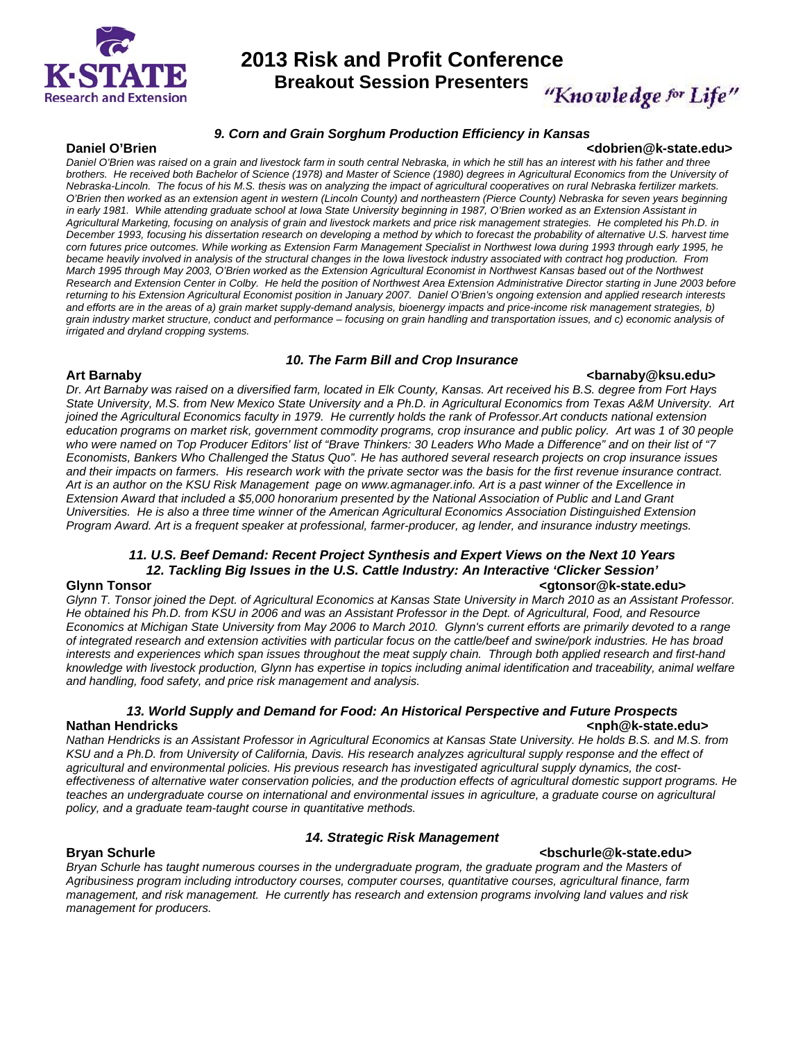

# **2013 Risk and Profit Conference**

**Breakout Session Presenters** 

## "Knowledge for Life"

### *9. Corn and Grain Sorghum Production Efficiency in Kansas*

### **Daniel O'Brien <dobrien@k-state.edu>**

Daniel O'Brien was raised on a grain and livestock farm in south central Nebraska, in which he still has an interest with his father and three *brothers. He received both Bachelor of Science (1978) and Master of Science (1980) degrees in Agricultural Economics from the University of Nebraska-Lincoln. The focus of his M.S. thesis was on analyzing the impact of agricultural cooperatives on rural Nebraska fertilizer markets. O'Brien then worked as an extension agent in western (Lincoln County) and northeastern (Pierce County) Nebraska for seven years beginning*  in early 1981. While attending graduate school at Iowa State University beginning in 1987, O'Brien worked as an Extension Assistant in *Agricultural Marketing, focusing on analysis of grain and livestock markets and price risk management strategies. He completed his Ph.D. in December 1993, focusing his dissertation research on developing a method by which to forecast the probability of alternative U.S. harvest time corn futures price outcomes. While working as Extension Farm Management Specialist in Northwest Iowa during 1993 through early 1995, he became heavily involved in analysis of the structural changes in the Iowa livestock industry associated with contract hog production. From March 1995 through May 2003, O'Brien worked as the Extension Agricultural Economist in Northwest Kansas based out of the Northwest Research and Extension Center in Colby. He held the position of Northwest Area Extension Administrative Director starting in June 2003 before returning to his Extension Agricultural Economist position in January 2007. Daniel O'Brien's ongoing extension and applied research interests and efforts are in the areas of a) grain market supply-demand analysis, bioenergy impacts and price-income risk management strategies, b) grain industry market structure, conduct and performance – focusing on grain handling and transportation issues, and c) economic analysis of irrigated and dryland cropping systems.* 

### *10. The Farm Bill and Crop Insurance*

### **Art Barnaby <barnaby@ksu.edu>**

*Dr. Art Barnaby was raised on a diversified farm, located in Elk County, Kansas. Art received his B.S. degree from Fort Hays State University, M.S. from New Mexico State University and a Ph.D. in Agricultural Economics from Texas A&M University. Art joined the Agricultural Economics faculty in 1979. He currently holds the rank of Professor.Art conducts national extension*  education programs on market risk, government commodity programs, crop insurance and public policy. Art was 1 of 30 people *who were named on Top Producer Editors' list of "Brave Thinkers: 30 Leaders Who Made a Difference" and on their list of "7 Economists, Bankers Who Challenged the Status Quo". He has authored several research projects on crop insurance issues and their impacts on farmers. His research work with the private sector was the basis for the first revenue insurance contract. Art is an author on the KSU Risk Management page on www.agmanager.info. Art is a past winner of the Excellence in Extension Award that included a \$5,000 honorarium presented by the National Association of Public and Land Grant Universities. He is also a three time winner of the American Agricultural Economics Association Distinguished Extension Program Award. Art is a frequent speaker at professional, farmer-producer, ag lender, and insurance industry meetings.* 

### *11. U.S. Beef Demand: Recent Project Synthesis and Expert Views on the Next 10 Years 12. Tackling Big Issues in the U.S. Cattle Industry: An Interactive 'Clicker Session'*

*Glynn T. Tonsor joined the Dept. of Agricultural Economics at Kansas State University in March 2010 as an Assistant Professor. He obtained his Ph.D. from KSU in 2006 and was an Assistant Professor in the Dept. of Agricultural, Food, and Resource Economics at Michigan State University from May 2006 to March 2010. Glynn's current efforts are primarily devoted to a range of integrated research and extension activities with particular focus on the cattle/beef and swine/pork industries. He has broad interests and experiences which span issues throughout the meat supply chain. Through both applied research and first-hand knowledge with livestock production, Glynn has expertise in topics including animal identification and traceability, animal welfare and handling, food safety, and price risk management and analysis.* 

### *13. World Supply and Demand for Food: An Historical Perspective and Future Prospects*  **Nathan Hendricks <nph@k-state.edu>**

*Nathan Hendricks is an Assistant Professor in Agricultural Economics at Kansas State University. He holds B.S. and M.S. from KSU and a Ph.D. from University of California, Davis. His research analyzes agricultural supply response and the effect of agricultural and environmental policies. His previous research has investigated agricultural supply dynamics, the costeffectiveness of alternative water conservation policies, and the production effects of agricultural domestic support programs. He teaches an undergraduate course on international and environmental issues in agriculture, a graduate course on agricultural policy, and a graduate team-taught course in quantitative methods.* 

### *14. Strategic Risk Management*

### **Bryan Schurle <bschurle@k-state.edu>**

*Bryan Schurle has taught numerous courses in the undergraduate program, the graduate program and the Masters of Agribusiness program including introductory courses, computer courses, quantitative courses, agricultural finance, farm management, and risk management. He currently has research and extension programs involving land values and risk management for producers.* 

### **Glynn Tonsor <gtonsor@k-state.edu>**